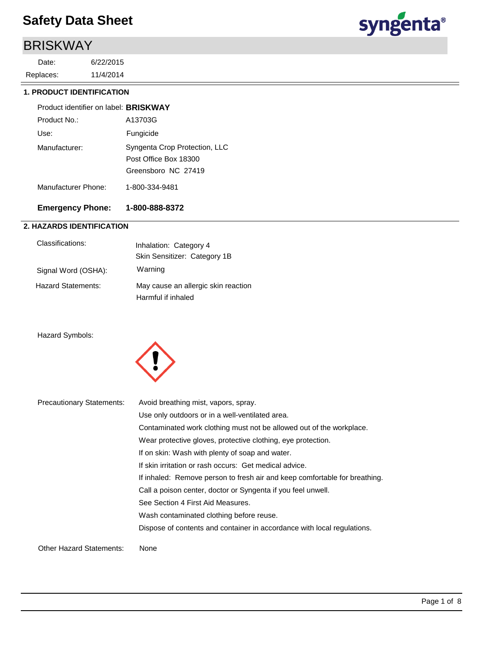## BRISKWAY

11/4/2014 6/22/2015 Replaces: Date:



#### **1. PRODUCT IDENTIFICATION**

| Product identifier on label: <b>BRISKWAY</b> |                                                                               |
|----------------------------------------------|-------------------------------------------------------------------------------|
| Product No.:                                 | A13703G                                                                       |
| Use:                                         | Fungicide                                                                     |
| Manufacturer:                                | Syngenta Crop Protection, LLC<br>Post Office Box 18300<br>Greensboro NC 27419 |
| Manufacturer Phone:                          | 1-800-334-9481                                                                |

### **Emergency Phone: 1-800-888-8372**

#### **2. HAZARDS IDENTIFICATION**

| Classifications:          | Inhalation: Category 4                                    |  |  |
|---------------------------|-----------------------------------------------------------|--|--|
|                           | Skin Sensitizer: Category 1B                              |  |  |
| Signal Word (OSHA):       | Warning                                                   |  |  |
| <b>Hazard Statements:</b> | May cause an allergic skin reaction<br>Harmful if inhaled |  |  |

#### Hazard Symbols:



| <b>Precautionary Statements:</b> | Avoid breathing mist, vapors, spray.                                       |
|----------------------------------|----------------------------------------------------------------------------|
|                                  | Use only outdoors or in a well-ventilated area.                            |
|                                  | Contaminated work clothing must not be allowed out of the workplace.       |
|                                  | Wear protective gloves, protective clothing, eye protection.               |
|                                  | If on skin: Wash with plenty of soap and water.                            |
|                                  | If skin irritation or rash occurs: Get medical advice.                     |
|                                  | If inhaled: Remove person to fresh air and keep comfortable for breathing. |
|                                  | Call a poison center, doctor or Syngenta if you feel unwell.               |
|                                  | See Section 4 First Aid Measures.                                          |
|                                  | Wash contaminated clothing before reuse.                                   |
|                                  | Dispose of contents and container in accordance with local regulations.    |
| <b>Other Hazard Statements:</b>  | None                                                                       |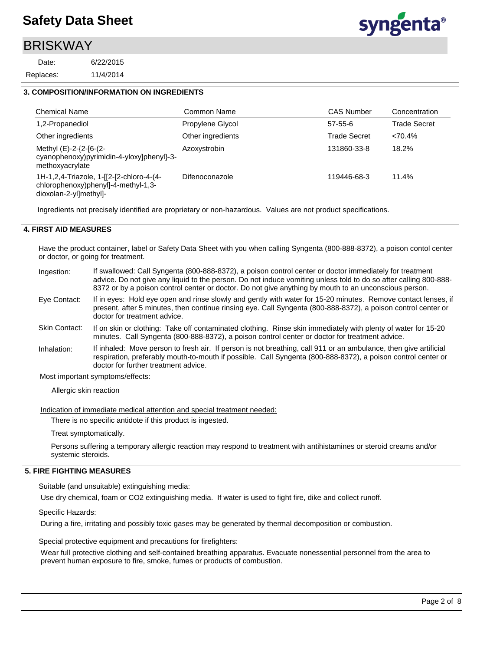## BRISKWAY

11/4/2014 6/22/2015 Replaces: Date:



#### **3. COMPOSITION/INFORMATION ON INGREDIENTS**

| Chemical Name                                                                                             | Common Name       | <b>CAS Number</b>   | Concentration       |
|-----------------------------------------------------------------------------------------------------------|-------------------|---------------------|---------------------|
| 1,2-Propanediol                                                                                           | Propylene Glycol  | $57 - 55 - 6$       | <b>Trade Secret</b> |
| Other ingredients                                                                                         | Other ingredients | <b>Trade Secret</b> | $< 70.4\%$          |
| Methyl (E)-2-{2-[6-(2-<br>cyanophenoxy)pyrimidin-4-yloxy]phenyl}-3-<br>methoxyacrylate                    | Azoxystrobin      | 131860-33-8         | 18.2%               |
| 1H-1,2,4-Triazole, 1-[[2-[2-chloro-4-(4-<br>chlorophenoxy)phenyl]-4-methyl-1,3-<br>dioxolan-2-yl]methyl]- | Difenoconazole    | 119446-68-3         | 11.4%               |

Ingredients not precisely identified are proprietary or non-hazardous. Values are not product specifications.

#### **4. FIRST AID MEASURES**

Have the product container, label or Safety Data Sheet with you when calling Syngenta (800-888-8372), a poison contol center or doctor, or going for treatment.

| Ingestion:    | If swallowed: Call Syngenta (800-888-8372), a poison control center or doctor immediately for treatment<br>advice. Do not give any liquid to the person. Do not induce vomiting unless told to do so after calling 800-888-<br>8372 or by a poison control center or doctor. Do not give anything by mouth to an unconscious person. |
|---------------|--------------------------------------------------------------------------------------------------------------------------------------------------------------------------------------------------------------------------------------------------------------------------------------------------------------------------------------|
| Eye Contact:  | If in eyes: Hold eye open and rinse slowly and gently with water for 15-20 minutes. Remove contact lenses, if<br>present, after 5 minutes, then continue rinsing eye. Call Syngenta (800-888-8372), a poison control center or<br>doctor for treatment advice.                                                                       |
| Skin Contact: | If on skin or clothing: Take off contaminated clothing. Rinse skin immediately with plenty of water for 15-20<br>minutes. Call Syngenta (800-888-8372), a poison control center or doctor for treatment advice.                                                                                                                      |
| Inhalation:   | If inhaled: Move person to fresh air. If person is not breathing, call 911 or an ambulance, then give artificial<br>respiration, preferably mouth-to-mouth if possible. Call Syngenta (800-888-8372), a poison control center or<br>doctor for further treatment advice.                                                             |
|               | Most important symptoms/effects:                                                                                                                                                                                                                                                                                                     |

Allergic skin reaction

Indication of immediate medical attention and special treatment needed:

There is no specific antidote if this product is ingested.

Treat symptomatically.

Persons suffering a temporary allergic reaction may respond to treatment with antihistamines or steroid creams and/or systemic steroids.

#### **5. FIRE FIGHTING MEASURES**

Suitable (and unsuitable) extinguishing media:

Use dry chemical, foam or CO2 extinguishing media. If water is used to fight fire, dike and collect runoff.

Specific Hazards:

During a fire, irritating and possibly toxic gases may be generated by thermal decomposition or combustion.

Special protective equipment and precautions for firefighters:

Wear full protective clothing and self-contained breathing apparatus. Evacuate nonessential personnel from the area to prevent human exposure to fire, smoke, fumes or products of combustion.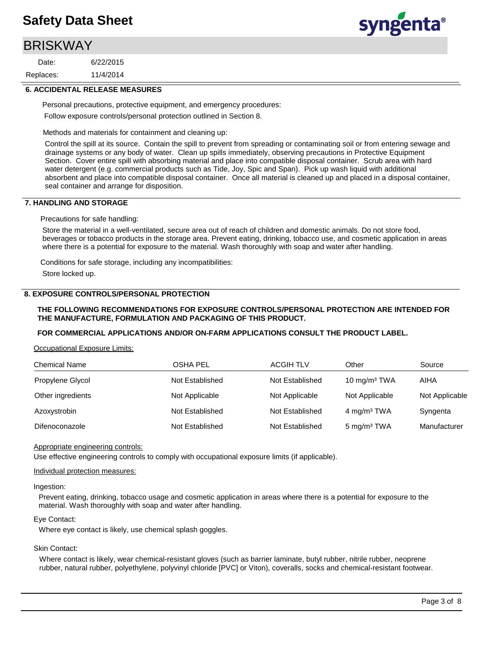## BRISKWAY

11/4/2014 6/22/2015 Replaces: Date:



#### **6. ACCIDENTAL RELEASE MEASURES**

Personal precautions, protective equipment, and emergency procedures: Follow exposure controls/personal protection outlined in Section 8.

Methods and materials for containment and cleaning up:

Control the spill at its source. Contain the spill to prevent from spreading or contaminating soil or from entering sewage and drainage systems or any body of water. Clean up spills immediately, observing precautions in Protective Equipment Section. Cover entire spill with absorbing material and place into compatible disposal container. Scrub area with hard water detergent (e.g. commercial products such as Tide, Joy, Spic and Span). Pick up wash liquid with additional absorbent and place into compatible disposal container. Once all material is cleaned up and placed in a disposal container, seal container and arrange for disposition.

#### **7. HANDLING AND STORAGE**

Precautions for safe handling:

Store the material in a well-ventilated, secure area out of reach of children and domestic animals. Do not store food, beverages or tobacco products in the storage area. Prevent eating, drinking, tobacco use, and cosmetic application in areas where there is a potential for exposure to the material. Wash thoroughly with soap and water after handling.

Conditions for safe storage, including any incompatibilities:

Store locked up.

#### **8. EXPOSURE CONTROLS/PERSONAL PROTECTION**

#### **THE FOLLOWING RECOMMENDATIONS FOR EXPOSURE CONTROLS/PERSONAL PROTECTION ARE INTENDED FOR THE MANUFACTURE, FORMULATION AND PACKAGING OF THIS PRODUCT.**

#### **FOR COMMERCIAL APPLICATIONS AND/OR ON-FARM APPLICATIONS CONSULT THE PRODUCT LABEL.**

Occupational Exposure Limits:

| <b>Chemical Name</b> | <b>OSHA PEL</b> | <b>ACGIH TLV</b> | Other                    | Source         |
|----------------------|-----------------|------------------|--------------------------|----------------|
| Propylene Glycol     | Not Established | Not Established  | 10 mg/m <sup>3</sup> TWA | AIHA           |
| Other ingredients    | Not Applicable  | Not Applicable   | Not Applicable           | Not Applicable |
| Azoxystrobin         | Not Established | Not Established  | 4 mg/m <sup>3</sup> TWA  | Syngenta       |
| Difenoconazole       | Not Established | Not Established  | 5 mg/m <sup>3</sup> TWA  | Manufacturer   |

#### Appropriate engineering controls:

Use effective engineering controls to comply with occupational exposure limits (if applicable).

#### Individual protection measures:

Ingestion:

Prevent eating, drinking, tobacco usage and cosmetic application in areas where there is a potential for exposure to the material. Wash thoroughly with soap and water after handling.

#### Eye Contact:

Where eye contact is likely, use chemical splash goggles.

#### Skin Contact:

Where contact is likely, wear chemical-resistant gloves (such as barrier laminate, butyl rubber, nitrile rubber, neoprene rubber, natural rubber, polyethylene, polyvinyl chloride [PVC] or Viton), coveralls, socks and chemical-resistant footwear.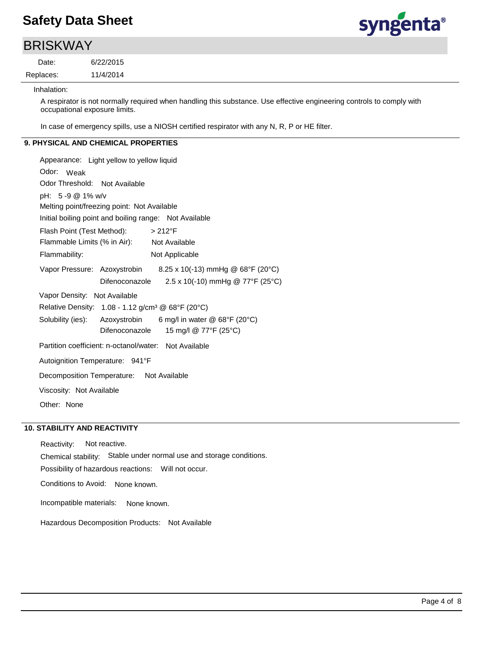# syngenta®

## BRISKWAY

11/4/2014 6/22/2015 Replaces: Date:

Inhalation:

A respirator is not normally required when handling this substance. Use effective engineering controls to comply with occupational exposure limits.

In case of emergency spills, use a NIOSH certified respirator with any N, R, P or HE filter.

#### **9. PHYSICAL AND CHEMICAL PROPERTIES**

| Appearance: Light yellow to yellow liquid                             |
|-----------------------------------------------------------------------|
| Odor: Weak                                                            |
| Odor Threshold: Not Available                                         |
| pH: 5 -9 @ 1% w/v                                                     |
| Melting point/freezing point: Not Available                           |
| Initial boiling point and boiling range: Not Available                |
| Flash Point (Test Method): > 212°F                                    |
| Flammable Limits (% in Air): Not Available                            |
| Flammability:<br>Not Applicable                                       |
| Vapor Pressure: Azoxystrobin $8.25 \times 10(-13)$ mmHg @ 68°F (20°C) |
| 2.5 x 10(-10) mmHg @ 77°F (25°C)<br>Difenoconazole                    |
| Vapor Density: Not Available                                          |
| Relative Density: 1.08 - 1.12 g/cm <sup>3</sup> @ 68°F (20°C)         |
| Solubility (ies): Azoxystrobin 6 mg/l in water @ 68°F (20°C)          |
| Difenoconazole 15 mg/l @ 77°F (25°C)                                  |
| Partition coefficient: n-octanol/water: Not Available                 |
| Autoignition Temperature: 941°F                                       |
| Decomposition Temperature: Not Available                              |
| Viscosity: Not Available                                              |
| Other: None                                                           |

#### **10. STABILITY AND REACTIVITY**

Chemical stability: Stable under normal use and storage conditions. Reactivity: Not reactive.

Possibility of hazardous reactions: Will not occur.

Conditions to Avoid: None known.

Incompatible materials: None known.

Hazardous Decomposition Products: Not Available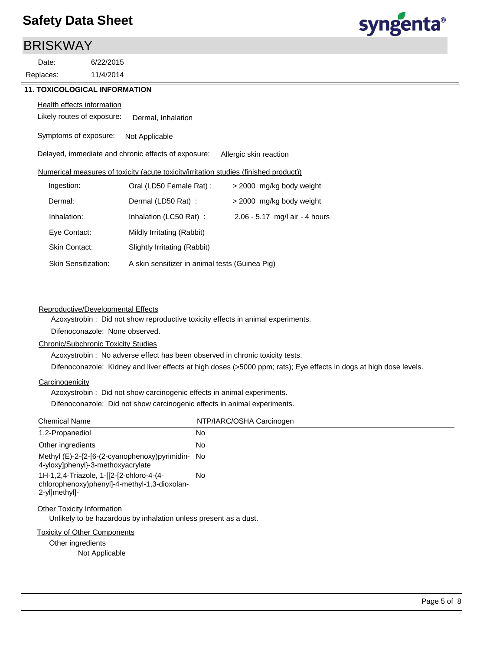## BRISKWAY

11/4/2014 6/22/2015 Replaces: Date:



#### **11. TOXICOLOGICAL INFORMATION**

#### Health effects information

Likely routes of exposure: Dermal, Inhalation

Symptoms of exposure: Not Applicable

Delayed, immediate and chronic effects of exposure: Allergic skin reaction

#### Numerical measures of toxicity (acute toxicity/irritation studies (finished product))

| Ingestion:                 | Oral (LD50 Female Rat):                        | > 2000 mg/kg body weight         |  |
|----------------------------|------------------------------------------------|----------------------------------|--|
| Dermal:                    | Dermal (LD50 Rat):                             | > 2000 mg/kg body weight         |  |
| Inhalation:                | Inhalation (LC50 Rat):                         | $2.06 - 5.17$ mg/l air - 4 hours |  |
| Eye Contact:               | Mildly Irritating (Rabbit)                     |                                  |  |
| Skin Contact:              | Slightly Irritating (Rabbit)                   |                                  |  |
| <b>Skin Sensitization:</b> | A skin sensitizer in animal tests (Guinea Pig) |                                  |  |

#### Reproductive/Developmental Effects

Azoxystrobin : Did not show reproductive toxicity effects in animal experiments. Difenoconazole: None observed.

#### Chronic/Subchronic Toxicity Studies

Azoxystrobin : No adverse effect has been observed in chronic toxicity tests.

Difenoconazole: Kidney and liver effects at high doses (>5000 ppm; rats); Eye effects in dogs at high dose levels.

#### **Carcinogenicity**

Azoxystrobin : Did not show carcinogenic effects in animal experiments.

Difenoconazole: Did not show carcinogenic effects in animal experiments.

| <b>Chemical Name</b>                                                                                      | NTP/IARC/OSHA Carcinogen |
|-----------------------------------------------------------------------------------------------------------|--------------------------|
| 1,2-Propanediol                                                                                           | No                       |
| Other ingredients                                                                                         | No                       |
| Methyl (E)-2-{2-[6-(2-cyanophenoxy)pyrimidin- No<br>4-yloxy]phenyl}-3-methoxyacrylate                     |                          |
| 1H-1,2,4-Triazole, 1-[[2-[2-chloro-4-(4-<br>chlorophenoxy)phenyl]-4-methyl-1,3-dioxolan-<br>2-yl]methyl]- | No                       |
| Other Toxicity Information<br>Unlikely to be hazardous by inhalation unless present as a dust.            |                          |
| Toxicity of Other Components<br>Other ingredients<br>Not Applicable                                       |                          |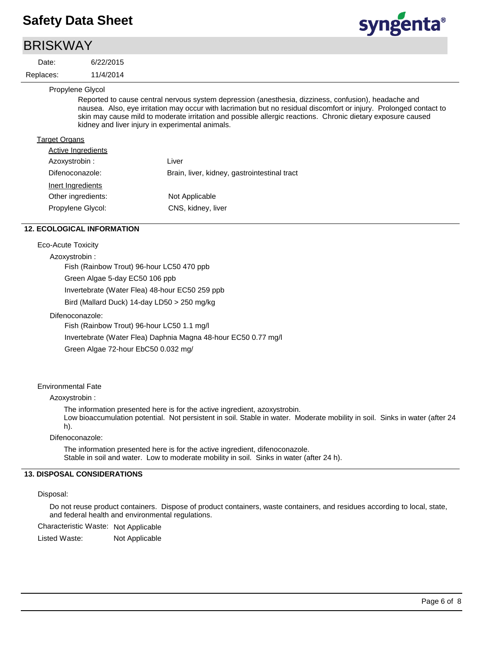## BRISKWAY

11/4/2014 6/22/2015 Replaces: Date:



Propylene Glycol

Reported to cause central nervous system depression (anesthesia, dizziness, confusion), headache and nausea. Also, eye irritation may occur with lacrimation but no residual discomfort or injury. Prolonged contact to skin may cause mild to moderate irritation and possible allergic reactions. Chronic dietary exposure caused kidney and liver injury in experimental animals.

#### **Target Organs**

| Active Ingredients |                                              |
|--------------------|----------------------------------------------|
| Azoxystrobin :     | Liver                                        |
| Difenoconazole:    | Brain, liver, kidney, gastrointestinal tract |
| Inert Ingredients  |                                              |
| Other ingredients: | Not Applicable                               |
| Propylene Glycol:  | CNS, kidney, liver                           |

#### **12. ECOLOGICAL INFORMATION**

Eco-Acute Toxicity

Azoxystrobin : Fish (Rainbow Trout) 96-hour LC50 470 ppb Green Algae 5-day EC50 106 ppb Invertebrate (Water Flea) 48-hour EC50 259 ppb Bird (Mallard Duck) 14-day LD50 > 250 mg/kg

Difenoconazole:

Fish (Rainbow Trout) 96-hour LC50 1.1 mg/l Invertebrate (Water Flea) Daphnia Magna 48-hour EC50 0.77 mg/l Green Algae 72-hour EbC50 0.032 mg/

#### Environmental Fate

Azoxystrobin :

The information presented here is for the active ingredient, azoxystrobin. Low bioaccumulation potential. Not persistent in soil. Stable in water. Moderate mobility in soil. Sinks in water (after 24

h).

Difenoconazole:

The information presented here is for the active ingredient, difenoconazole. Stable in soil and water. Low to moderate mobility in soil. Sinks in water (after 24 h).

#### **13. DISPOSAL CONSIDERATIONS**

#### Disposal:

Do not reuse product containers. Dispose of product containers, waste containers, and residues according to local, state, and federal health and environmental regulations.

Characteristic Waste: Not Applicable

Listed Waste: Not Applicable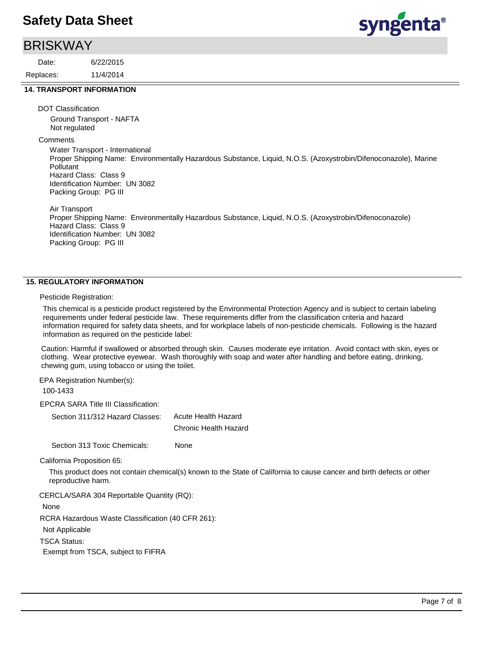## BRISKWAY

11/4/2014 6/22/2015 Replaces: Date:



#### **14. TRANSPORT INFORMATION**

DOT Classification

Ground Transport - NAFTA Not regulated

**Comments** 

Water Transport - International Proper Shipping Name: Environmentally Hazardous Substance, Liquid, N.O.S. (Azoxystrobin/Difenoconazole), Marine Pollutant Hazard Class: Class 9 Identification Number: UN 3082 Packing Group: PG III

Air Transport Proper Shipping Name: Environmentally Hazardous Substance, Liquid, N.O.S. (Azoxystrobin/Difenoconazole) Hazard Class: Class 9 Identification Number: UN 3082 Packing Group: PG III

#### **15. REGULATORY INFORMATION**

Pesticide Registration:

This chemical is a pesticide product registered by the Environmental Protection Agency and is subject to certain labeling requirements under federal pesticide law. These requirements differ from the classification criteria and hazard information required for safety data sheets, and for workplace labels of non-pesticide chemicals. Following is the hazard information as required on the pesticide label:

Caution: Harmful if swallowed or absorbed through skin. Causes moderate eye irritation. Avoid contact with skin, eyes or clothing. Wear protective eyewear. Wash thoroughly with soap and water after handling and before eating, drinking, chewing gum, using tobacco or using the toilet.

EPA Registration Number(s):

100-1433

EPCRA SARA Title III Classification:

Section 311/312 Hazard Classes: Acute Health Hazard Chronic Health Hazard

Section 313 Toxic Chemicals: None

California Proposition 65:

This product does not contain chemical(s) known to the State of California to cause cancer and birth defects or other reproductive harm.

CERCLA/SARA 304 Reportable Quantity (RQ):

None

RCRA Hazardous Waste Classification (40 CFR 261):

Not Applicable

TSCA Status:

Exempt from TSCA, subject to FIFRA